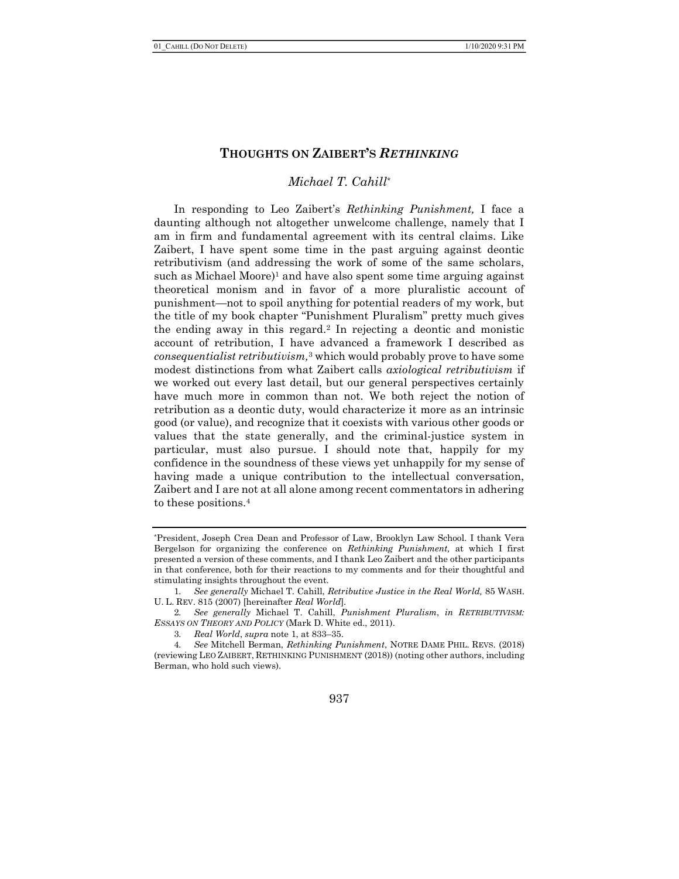#### THOUGHTS ON ZAIBERT'S RETHINKING

## Michael T. Cahill\*

In responding to Leo Zaibert's Rethinking Punishment, I face a daunting although not altogether unwelcome challenge, namely that I am in firm and fundamental agreement with its central claims. Like Zaibert, I have spent some time in the past arguing against deontic retributivism (and addressing the work of some of the same scholars, such as Michael Moore)<sup>1</sup> and have also spent some time arguing against theoretical monism and in favor of a more pluralistic account of punishment—not to spoil anything for potential readers of my work, but the title of my book chapter "Punishment Pluralism" pretty much gives the ending away in this regard.2 In rejecting a deontic and monistic account of retribution, I have advanced a framework I described as consequentialist retributivism,3 which would probably prove to have some modest distinctions from what Zaibert calls axiological retributivism if we worked out every last detail, but our general perspectives certainly have much more in common than not. We both reject the notion of retribution as a deontic duty, would characterize it more as an intrinsic good (or value), and recognize that it coexists with various other goods or values that the state generally, and the criminal-justice system in particular, must also pursue. I should note that, happily for my confidence in the soundness of these views yet unhappily for my sense of having made a unique contribution to the intellectual conversation, Zaibert and I are not at all alone among recent commentators in adhering to these positions.<sup>4</sup>

<sup>\*</sup>President, Joseph Crea Dean and Professor of Law, Brooklyn Law School. I thank Vera Bergelson for organizing the conference on Rethinking Punishment, at which I first presented a version of these comments, and I thank Leo Zaibert and the other participants in that conference, both for their reactions to my comments and for their thoughtful and stimulating insights throughout the event.

<sup>1</sup>. See generally Michael T. Cahill, Retributive Justice in the Real World, 85 WASH. U. L. REV. 815 (2007) [hereinafter Real World].

<sup>2</sup>. See generally Michael T. Cahill, Punishment Pluralism, in RETRIBUTIVISM: ESSAYS ON THEORY AND POLICY (Mark D. White ed., 2011).

<sup>3</sup>. Real World, supra note 1, at 833–35.

<sup>4</sup>. See Mitchell Berman, Rethinking Punishment, NOTRE DAME PHIL. REVS. (2018) (reviewing LEO ZAIBERT, RETHINKING PUNISHMENT (2018)) (noting other authors, including Berman, who hold such views).

<sup>937</sup>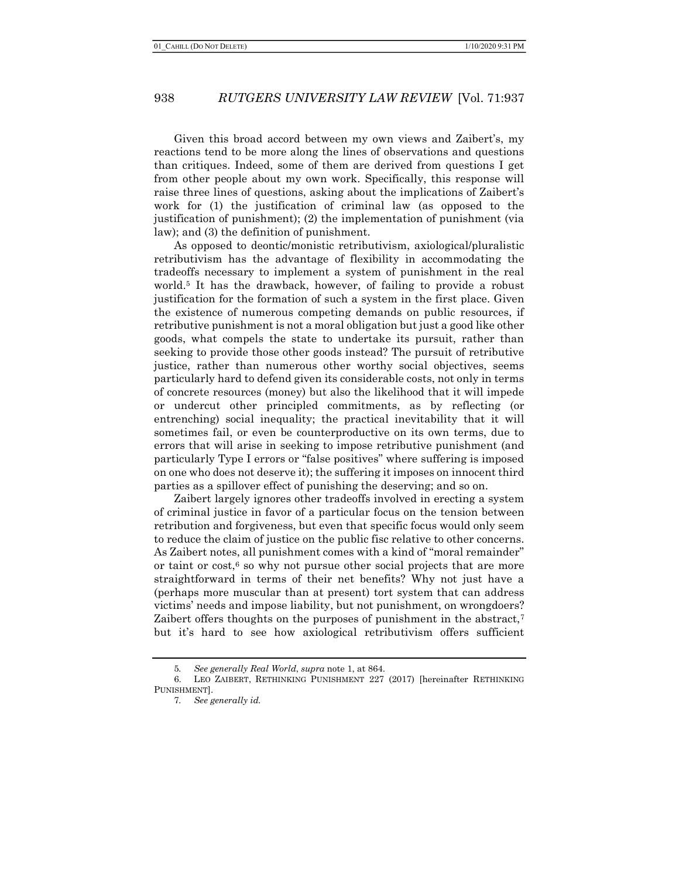Given this broad accord between my own views and Zaibert's, my reactions tend to be more along the lines of observations and questions than critiques. Indeed, some of them are derived from questions I get from other people about my own work. Specifically, this response will raise three lines of questions, asking about the implications of Zaibert's work for (1) the justification of criminal law (as opposed to the justification of punishment); (2) the implementation of punishment (via law); and (3) the definition of punishment.

As opposed to deontic/monistic retributivism, axiological/pluralistic retributivism has the advantage of flexibility in accommodating the tradeoffs necessary to implement a system of punishment in the real world.5 It has the drawback, however, of failing to provide a robust justification for the formation of such a system in the first place. Given the existence of numerous competing demands on public resources, if retributive punishment is not a moral obligation but just a good like other goods, what compels the state to undertake its pursuit, rather than seeking to provide those other goods instead? The pursuit of retributive justice, rather than numerous other worthy social objectives, seems particularly hard to defend given its considerable costs, not only in terms of concrete resources (money) but also the likelihood that it will impede or undercut other principled commitments, as by reflecting (or entrenching) social inequality; the practical inevitability that it will sometimes fail, or even be counterproductive on its own terms, due to errors that will arise in seeking to impose retributive punishment (and particularly Type I errors or "false positives" where suffering is imposed on one who does not deserve it); the suffering it imposes on innocent third parties as a spillover effect of punishing the deserving; and so on.

Zaibert largely ignores other tradeoffs involved in erecting a system of criminal justice in favor of a particular focus on the tension between retribution and forgiveness, but even that specific focus would only seem to reduce the claim of justice on the public fisc relative to other concerns. As Zaibert notes, all punishment comes with a kind of "moral remainder" or taint or  $cost<sub>i</sub>$  so why not pursue other social projects that are more straightforward in terms of their net benefits? Why not just have a (perhaps more muscular than at present) tort system that can address victims' needs and impose liability, but not punishment, on wrongdoers? Zaibert offers thoughts on the purposes of punishment in the abstract,<sup>7</sup> but it's hard to see how axiological retributivism offers sufficient

<sup>5</sup>. See generally Real World, supra note 1, at 864.

<sup>6.</sup> LEO ZAIBERT, RETHINKING PUNISHMENT 227 (2017) [hereinafter RETHINKING PUNISHMENT].

<sup>7</sup>. See generally id.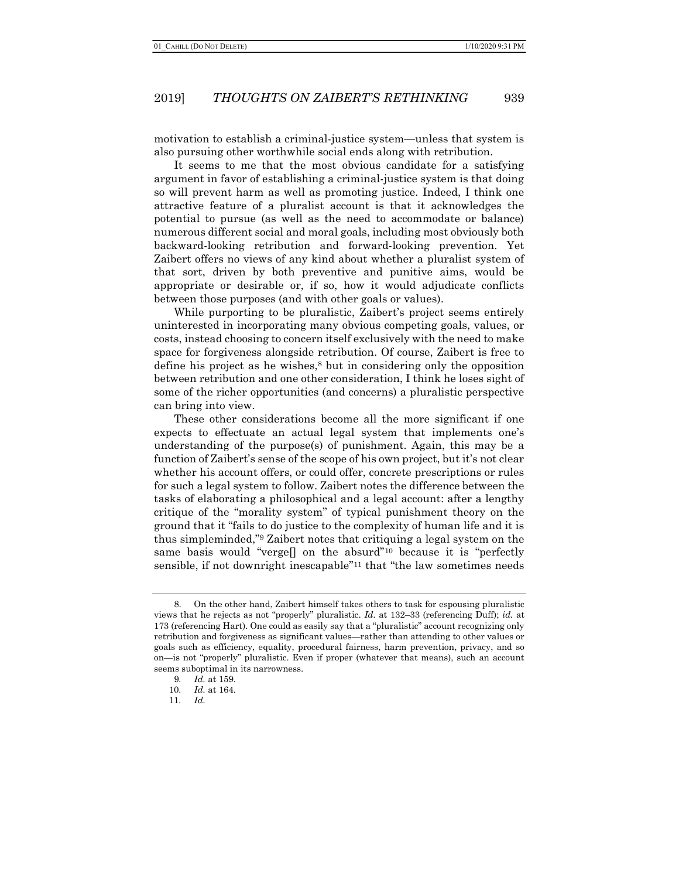#### 2019] THOUGHTS ON ZAIBERT'S RETHINKING 939

motivation to establish a criminal-justice system—unless that system is also pursuing other worthwhile social ends along with retribution.

It seems to me that the most obvious candidate for a satisfying argument in favor of establishing a criminal-justice system is that doing so will prevent harm as well as promoting justice. Indeed, I think one attractive feature of a pluralist account is that it acknowledges the potential to pursue (as well as the need to accommodate or balance) numerous different social and moral goals, including most obviously both backward-looking retribution and forward-looking prevention. Yet Zaibert offers no views of any kind about whether a pluralist system of that sort, driven by both preventive and punitive aims, would be appropriate or desirable or, if so, how it would adjudicate conflicts between those purposes (and with other goals or values).

While purporting to be pluralistic, Zaibert's project seems entirely uninterested in incorporating many obvious competing goals, values, or costs, instead choosing to concern itself exclusively with the need to make space for forgiveness alongside retribution. Of course, Zaibert is free to define his project as he wishes,<sup>8</sup> but in considering only the opposition between retribution and one other consideration, I think he loses sight of some of the richer opportunities (and concerns) a pluralistic perspective can bring into view.

These other considerations become all the more significant if one expects to effectuate an actual legal system that implements one's understanding of the purpose(s) of punishment. Again, this may be a function of Zaibert's sense of the scope of his own project, but it's not clear whether his account offers, or could offer, concrete prescriptions or rules for such a legal system to follow. Zaibert notes the difference between the tasks of elaborating a philosophical and a legal account: after a lengthy critique of the "morality system" of typical punishment theory on the ground that it "fails to do justice to the complexity of human life and it is thus simpleminded,"9 Zaibert notes that critiquing a legal system on the same basis would "verge[] on the absurd"10 because it is "perfectly sensible, if not downright inescapable"11 that "the law sometimes needs

<sup>8.</sup> On the other hand, Zaibert himself takes others to task for espousing pluralistic views that he rejects as not "properly" pluralistic. Id. at 132–33 (referencing Duff); id. at 173 (referencing Hart). One could as easily say that a "pluralistic" account recognizing only retribution and forgiveness as significant values—rather than attending to other values or goals such as efficiency, equality, procedural fairness, harm prevention, privacy, and so on—is not "properly" pluralistic. Even if proper (whatever that means), such an account seems suboptimal in its narrowness.

<sup>9</sup>. Id. at 159.

<sup>10</sup>. Id. at 164.

<sup>11</sup>. Id.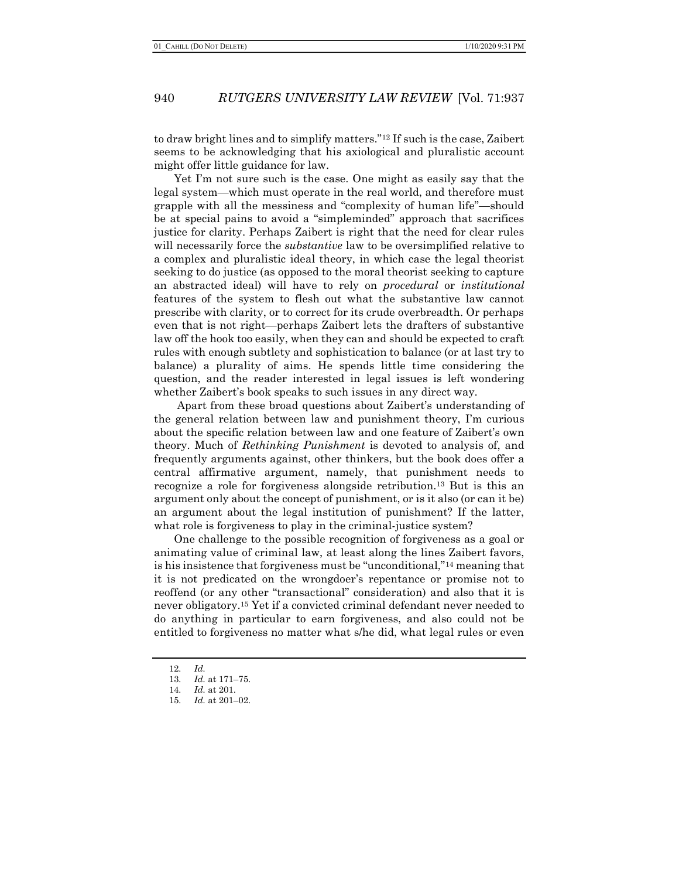to draw bright lines and to simplify matters."12 If such is the case, Zaibert seems to be acknowledging that his axiological and pluralistic account might offer little guidance for law.

Yet I'm not sure such is the case. One might as easily say that the legal system—which must operate in the real world, and therefore must grapple with all the messiness and "complexity of human life"—should be at special pains to avoid a "simpleminded" approach that sacrifices justice for clarity. Perhaps Zaibert is right that the need for clear rules will necessarily force the *substantive* law to be oversimplified relative to a complex and pluralistic ideal theory, in which case the legal theorist seeking to do justice (as opposed to the moral theorist seeking to capture an abstracted ideal) will have to rely on procedural or institutional features of the system to flesh out what the substantive law cannot prescribe with clarity, or to correct for its crude overbreadth. Or perhaps even that is not right—perhaps Zaibert lets the drafters of substantive law off the hook too easily, when they can and should be expected to craft rules with enough subtlety and sophistication to balance (or at last try to balance) a plurality of aims. He spends little time considering the question, and the reader interested in legal issues is left wondering whether Zaibert's book speaks to such issues in any direct way.

 Apart from these broad questions about Zaibert's understanding of the general relation between law and punishment theory, I'm curious about the specific relation between law and one feature of Zaibert's own theory. Much of Rethinking Punishment is devoted to analysis of, and frequently arguments against, other thinkers, but the book does offer a central affirmative argument, namely, that punishment needs to recognize a role for forgiveness alongside retribution.13 But is this an argument only about the concept of punishment, or is it also (or can it be) an argument about the legal institution of punishment? If the latter, what role is forgiveness to play in the criminal-justice system?

One challenge to the possible recognition of forgiveness as a goal or animating value of criminal law, at least along the lines Zaibert favors, is his insistence that forgiveness must be "unconditional,"14 meaning that it is not predicated on the wrongdoer's repentance or promise not to reoffend (or any other "transactional" consideration) and also that it is never obligatory.15 Yet if a convicted criminal defendant never needed to do anything in particular to earn forgiveness, and also could not be entitled to forgiveness no matter what s/he did, what legal rules or even

<sup>12</sup>. Id.

<sup>13</sup>. Id. at 171–75.

<sup>14</sup>. Id. at 201.

<sup>15</sup>. Id. at 201–02.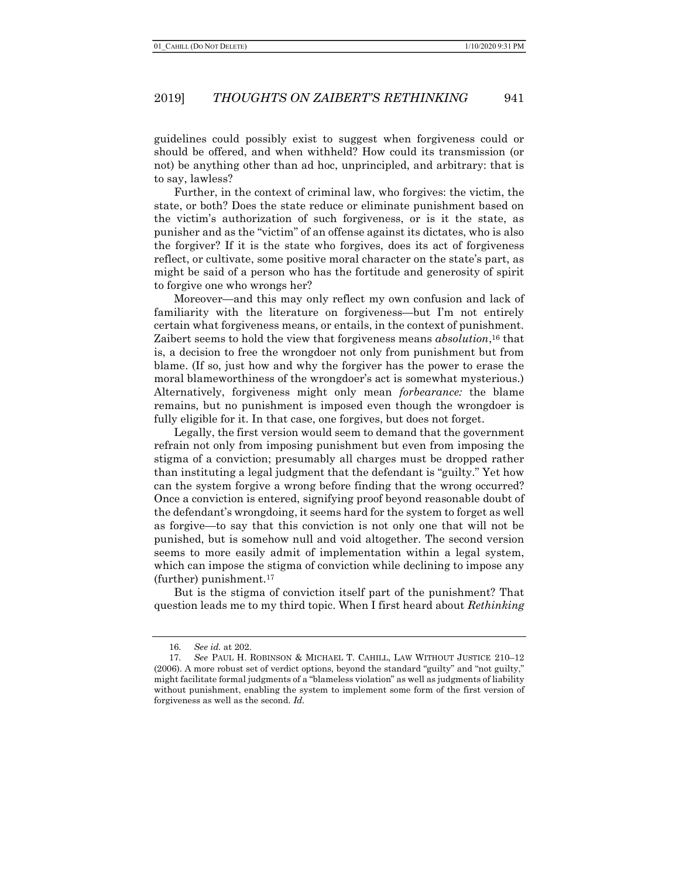### 2019] THOUGHTS ON ZAIBERT'S RETHINKING 941

guidelines could possibly exist to suggest when forgiveness could or should be offered, and when withheld? How could its transmission (or not) be anything other than ad hoc, unprincipled, and arbitrary: that is to say, lawless?

Further, in the context of criminal law, who forgives: the victim, the state, or both? Does the state reduce or eliminate punishment based on the victim's authorization of such forgiveness, or is it the state, as punisher and as the "victim" of an offense against its dictates, who is also the forgiver? If it is the state who forgives, does its act of forgiveness reflect, or cultivate, some positive moral character on the state's part, as might be said of a person who has the fortitude and generosity of spirit to forgive one who wrongs her?

Moreover—and this may only reflect my own confusion and lack of familiarity with the literature on forgiveness—but I'm not entirely certain what forgiveness means, or entails, in the context of punishment. Zaibert seems to hold the view that forgiveness means *absolution*,<sup>16</sup> that is, a decision to free the wrongdoer not only from punishment but from blame. (If so, just how and why the forgiver has the power to erase the moral blameworthiness of the wrongdoer's act is somewhat mysterious.) Alternatively, forgiveness might only mean *forbearance*: the blame remains, but no punishment is imposed even though the wrongdoer is fully eligible for it. In that case, one forgives, but does not forget.

Legally, the first version would seem to demand that the government refrain not only from imposing punishment but even from imposing the stigma of a conviction; presumably all charges must be dropped rather than instituting a legal judgment that the defendant is "guilty." Yet how can the system forgive a wrong before finding that the wrong occurred? Once a conviction is entered, signifying proof beyond reasonable doubt of the defendant's wrongdoing, it seems hard for the system to forget as well as forgive—to say that this conviction is not only one that will not be punished, but is somehow null and void altogether. The second version seems to more easily admit of implementation within a legal system, which can impose the stigma of conviction while declining to impose any (further) punishment.<sup>17</sup>

But is the stigma of conviction itself part of the punishment? That question leads me to my third topic. When I first heard about Rethinking

<sup>16</sup>. See id. at 202.

<sup>17</sup>. See PAUL H. ROBINSON & MICHAEL T. CAHILL, LAW WITHOUT JUSTICE 210–12 (2006). A more robust set of verdict options, beyond the standard "guilty" and "not guilty," might facilitate formal judgments of a "blameless violation" as well as judgments of liability without punishment, enabling the system to implement some form of the first version of forgiveness as well as the second. Id.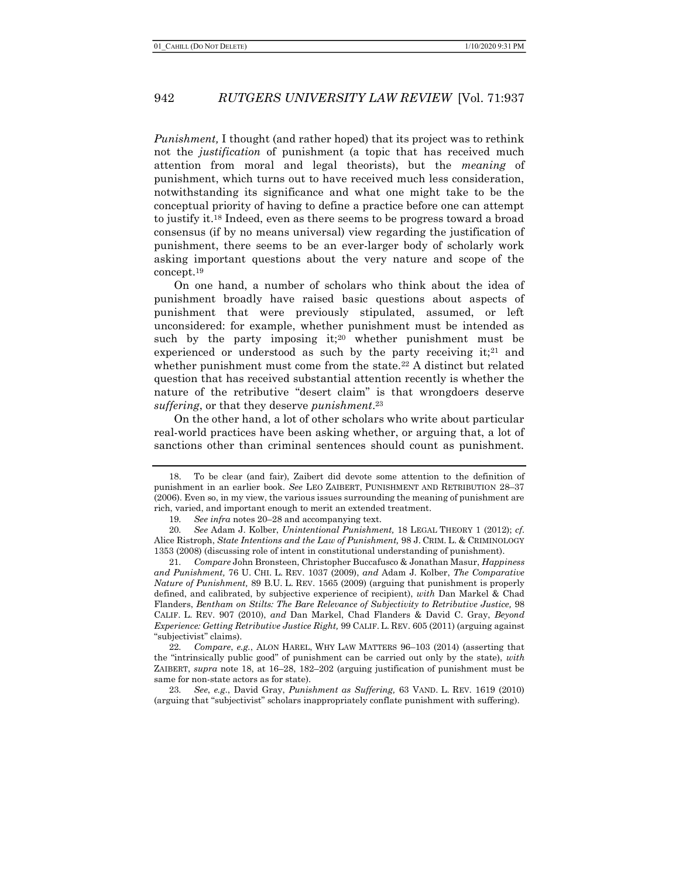Punishment, I thought (and rather hoped) that its project was to rethink not the justification of punishment (a topic that has received much attention from moral and legal theorists), but the meaning of punishment, which turns out to have received much less consideration, notwithstanding its significance and what one might take to be the conceptual priority of having to define a practice before one can attempt to justify it.18 Indeed, even as there seems to be progress toward a broad consensus (if by no means universal) view regarding the justification of punishment, there seems to be an ever-larger body of scholarly work asking important questions about the very nature and scope of the concept.<sup>19</sup>

On one hand, a number of scholars who think about the idea of punishment broadly have raised basic questions about aspects of punishment that were previously stipulated, assumed, or left unconsidered: for example, whether punishment must be intended as such by the party imposing it;<sup>20</sup> whether punishment must be experienced or understood as such by the party receiving it;<sup>21</sup> and whether punishment must come from the state.<sup>22</sup> A distinct but related question that has received substantial attention recently is whether the nature of the retributive "desert claim" is that wrongdoers deserve suffering, or that they deserve *punishment*.<sup>23</sup>

On the other hand, a lot of other scholars who write about particular real-world practices have been asking whether, or arguing that, a lot of sanctions other than criminal sentences should count as punishment.

<sup>18.</sup> To be clear (and fair), Zaibert did devote some attention to the definition of punishment in an earlier book. See LEO ZAIBERT, PUNISHMENT AND RETRIBUTION 28–37 (2006). Even so, in my view, the various issues surrounding the meaning of punishment are rich, varied, and important enough to merit an extended treatment.

<sup>19</sup>. See infra notes 20–28 and accompanying text.

<sup>20</sup>. See Adam J. Kolber, Unintentional Punishment, 18 LEGAL THEORY 1 (2012); cf. Alice Ristroph, State Intentions and the Law of Punishment, 98 J. CRIM. L. & CRIMINOLOGY 1353 (2008) (discussing role of intent in constitutional understanding of punishment).

<sup>21.</sup> Compare John Bronsteen, Christopher Buccafusco & Jonathan Masur, Happiness and Punishment, 76 U. CHI. L. REV. 1037 (2009), and Adam J. Kolber, The Comparative Nature of Punishment, 89 B.U. L. REV. 1565 (2009) (arguing that punishment is properly defined, and calibrated, by subjective experience of recipient), with Dan Markel & Chad Flanders, Bentham on Stilts: The Bare Relevance of Subjectivity to Retributive Justice, 98 CALIF. L. REV. 907 (2010), and Dan Markel, Chad Flanders & David C. Gray, Beyond Experience: Getting Retributive Justice Right, 99 CALIF. L. REV. 605 (2011) (arguing against "subjectivist" claims).

<sup>22</sup>. Compare, e.g., ALON HAREL, WHY LAW MATTERS 96–103 (2014) (asserting that the "intrinsically public good" of punishment can be carried out only by the state), with ZAIBERT, supra note 18, at 16–28, 182–202 (arguing justification of punishment must be same for non-state actors as for state).

<sup>23</sup>. See, e.g., David Gray, Punishment as Suffering, 63 VAND. L. REV. 1619 (2010) (arguing that "subjectivist" scholars inappropriately conflate punishment with suffering).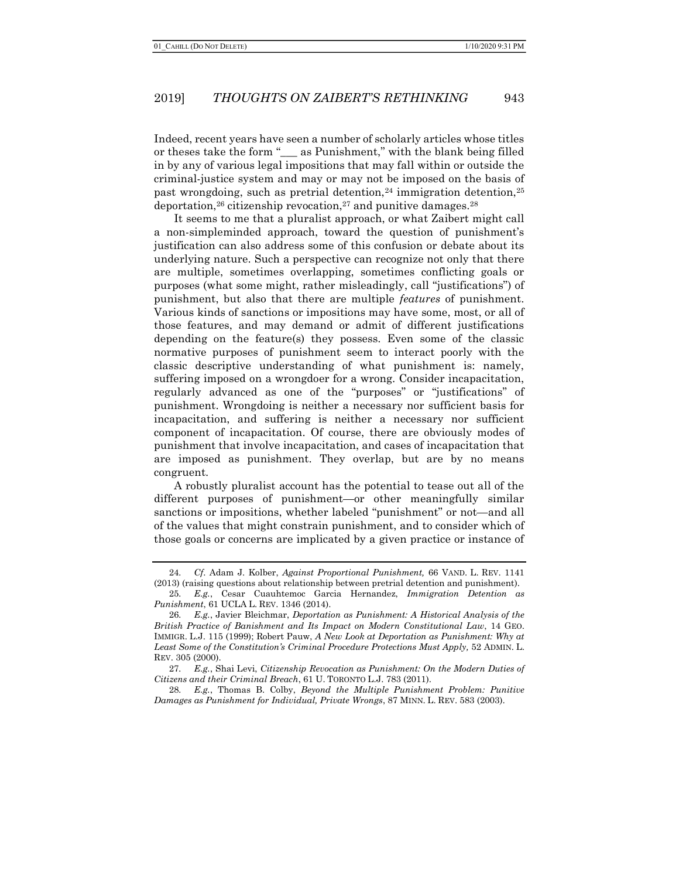#### 2019] THOUGHTS ON ZAIBERT'S RETHINKING 943

Indeed, recent years have seen a number of scholarly articles whose titles or theses take the form "\_\_\_ as Punishment," with the blank being filled in by any of various legal impositions that may fall within or outside the criminal-justice system and may or may not be imposed on the basis of past wrongdoing, such as pretrial detention,  $24$  immigration detention,  $25$ deportation,<sup>26</sup> citizenship revocation,<sup>27</sup> and punitive damages.<sup>28</sup>

It seems to me that a pluralist approach, or what Zaibert might call a non-simpleminded approach, toward the question of punishment's justification can also address some of this confusion or debate about its underlying nature. Such a perspective can recognize not only that there are multiple, sometimes overlapping, sometimes conflicting goals or purposes (what some might, rather misleadingly, call "justifications") of punishment, but also that there are multiple *features* of punishment. Various kinds of sanctions or impositions may have some, most, or all of those features, and may demand or admit of different justifications depending on the feature(s) they possess. Even some of the classic normative purposes of punishment seem to interact poorly with the classic descriptive understanding of what punishment is: namely, suffering imposed on a wrongdoer for a wrong. Consider incapacitation, regularly advanced as one of the "purposes" or "justifications" of punishment. Wrongdoing is neither a necessary nor sufficient basis for incapacitation, and suffering is neither a necessary nor sufficient component of incapacitation. Of course, there are obviously modes of punishment that involve incapacitation, and cases of incapacitation that are imposed as punishment. They overlap, but are by no means congruent.

A robustly pluralist account has the potential to tease out all of the different purposes of punishment—or other meaningfully similar sanctions or impositions, whether labeled "punishment" or not—and all of the values that might constrain punishment, and to consider which of those goals or concerns are implicated by a given practice or instance of

28. E.g., Thomas B. Colby, Beyond the Multiple Punishment Problem: Punitive Damages as Punishment for Individual, Private Wrongs, 87 MINN. L. REV. 583 (2003).

<sup>24</sup>. Cf. Adam J. Kolber, Against Proportional Punishment, 66 VAND. L. REV. 1141 (2013) (raising questions about relationship between pretrial detention and punishment).

<sup>25</sup>. E.g., Cesar Cuauhtemoc Garcia Hernandez, Immigration Detention as Punishment, 61 UCLA L. REV. 1346 (2014).

<sup>26</sup>. E.g., Javier Bleichmar, Deportation as Punishment: A Historical Analysis of the British Practice of Banishment and Its Impact on Modern Constitutional Law, 14 GEO. IMMIGR. L.J. 115 (1999); Robert Pauw, A New Look at Deportation as Punishment: Why at Least Some of the Constitution's Criminal Procedure Protections Must Apply, 52 ADMIN. L. REV. 305 (2000).

<sup>27</sup>. E.g., Shai Levi, Citizenship Revocation as Punishment: On the Modern Duties of Citizens and their Criminal Breach, 61 U. TORONTO L.J. 783 (2011).